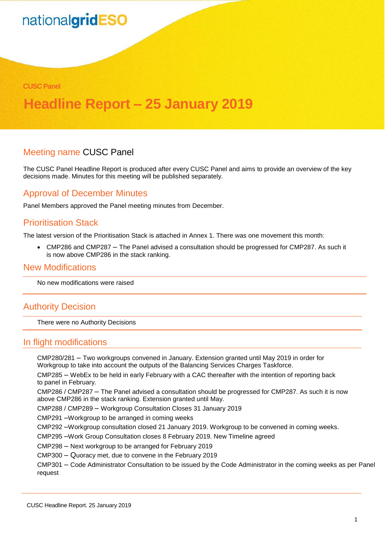#### **CUSC Panel**

### **Headline Report – 25 January 2019**

#### Meeting name CUSC Panel

The CUSC Panel Headline Report is produced after every CUSC Panel and aims to provide an overview of the key decisions made. Minutes for this meeting will be published separately.

#### Approval of December Minutes

Panel Members approved the Panel meeting minutes from December.

#### Prioritisation Stack

The latest version of the Prioritisation Stack is attached in Annex 1. There was one movement this month:

• CMP286 and CMP287 – The Panel advised a consultation should be progressed for CMP287. As such it is now above CMP286 in the stack ranking.

#### New Modifications

No new modifications were raised

#### Authority Decision

There were no Authority Decisions

#### In flight modifications

CMP280/281 – Two workgroups convened in January. Extension granted until May 2019 in order for Workgroup to take into account the outputs of the Balancing Services Charges Taskforce.

CMP285 – WebEx to be held in early February with a CAC thereafter with the intention of reporting back to panel in February.

CMP286 / CMP287 – The Panel advised a consultation should be progressed for CMP287. As such it is now above CMP286 in the stack ranking. Extension granted until May.

CMP288 / CMP289 – Workgroup Consultation Closes 31 January 2019

CMP291 –Workgroup to be arranged in coming weeks

CMP292 –Workgroup consultation closed 21 January 2019. Workgroup to be convened in coming weeks.

CMP295 –Work Group Consultation closes 8 February 2019. New Timeline agreed

CMP298 – Next workgroup to be arranged for February 2019

CMP300 – Quoracy met, due to convene in the February 2019

CMP301 – Code Administrator Consultation to be issued by the Code Administrator in the coming weeks as per Panel request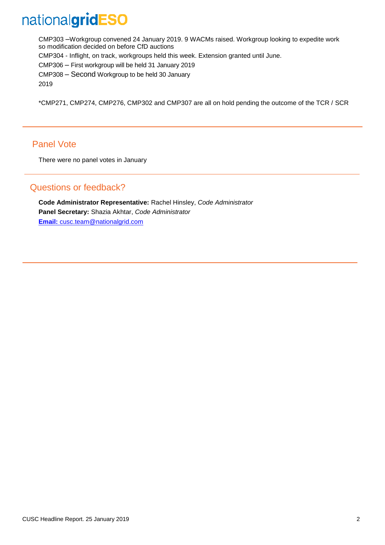CMP303 –Workgroup convened 24 January 2019. 9 WACMs raised. Workgroup looking to expedite work so modification decided on before CfD auctions CMP304 - Inflight, on track, workgroups held this week. Extension granted until June. CMP306 – First workgroup will be held 31 January 2019 CMP308 – Second Workgroup to be held 30 January 2019

\*CMP271, CMP274, CMP276, CMP302 and CMP307 are all on hold pending the outcome of the TCR / SCR

#### Panel Vote

There were no panel votes in January

#### Questions or feedback?

**Code Administrator Representative:** Rachel Hinsley, *Code Administrator*  **Panel Secretary:** Shazia Akhtar, *Code Administrator* **[Email:](mailto:cusc.team@nationalgrid.com)** cusc.team@nationalgrid.com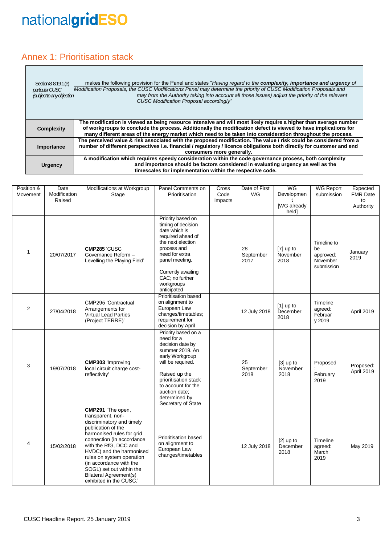#### Annex 1: Prioritisation stack

| Section 8: 8.19.1.(e)<br>particular CUSC<br>(subject to any objection | makes the following provision for the Panel and states "Having regard to the complexity, importance and urgency of<br>Modification Proposals, the CUSC Modifications Panel may determine the priority of CUSC Modification Proposals and<br>may from the Authority taking into account all those issues) adjust the priority of the relevant<br><b>CUSC Modification Proposal accordingly"</b> |
|-----------------------------------------------------------------------|------------------------------------------------------------------------------------------------------------------------------------------------------------------------------------------------------------------------------------------------------------------------------------------------------------------------------------------------------------------------------------------------|
| <b>Complexity</b>                                                     | The modification is viewed as being resource intensive and will most likely require a higher than average number<br>of workgroups to conclude the process. Additionally the modification defect is viewed to have implications for<br>many different areas of the energy market which need to be taken into consideration throughout the process.                                              |
| Importance                                                            | The perceived value & risk associated with the proposed modification. The value / risk could be considered from a<br>number of different perspectives i.e. financial / regulatory / licence obligations both directly for customer and end<br>consumers more generally.                                                                                                                        |
| <b>Urgency</b>                                                        | A modification which requires speedy consideration within the code governance process, both complexity<br>and importance should be factors considered in evaluating urgency as well as the<br>timescales for implementation within the respective code.                                                                                                                                        |

| Position &<br>Movement | Date<br>Modification<br>Raised | Modifications at Workgroup<br>Stage                                                                                                                                                                                                                                                                                                                      | Panel Comments on<br>Prioritisation                                                                                                                                                                                                     | Cross<br>Code<br>Impacts | Date of First<br>WG     | WG<br>Developmen<br>ŧ<br>[WG already<br>held] | <b>WG Report</b><br>submission                           | Expected<br><b>FMR Date</b><br>to<br>Authority |
|------------------------|--------------------------------|----------------------------------------------------------------------------------------------------------------------------------------------------------------------------------------------------------------------------------------------------------------------------------------------------------------------------------------------------------|-----------------------------------------------------------------------------------------------------------------------------------------------------------------------------------------------------------------------------------------|--------------------------|-------------------------|-----------------------------------------------|----------------------------------------------------------|------------------------------------------------|
| $\mathbf{1}$           | 20/07/2017                     | CMP285 'CUSC<br>Governance Reform -<br>Levelling the Playing Field'                                                                                                                                                                                                                                                                                      | Priority based on<br>timing of decision<br>date which is<br>required ahead of<br>the next election<br>process and<br>need for extra<br>panel meeting.<br>Currently awaiting<br>CAC; no further<br>workgroups<br>anticipated             |                          | 28<br>September<br>2017 | $[7]$ up to<br>November<br>2018               | Timeline to<br>be<br>approved:<br>November<br>submission | January<br>2019                                |
| $\overline{2}$         | 27/04/2018                     | CMP295 'Contractual<br>Arrangements for<br>Virtual Lead Parties<br>(Project TERRE)'                                                                                                                                                                                                                                                                      | Prioritisation based<br>on alignment to<br>European Law<br>changes/timetables;<br>requirement for<br>decision by April                                                                                                                  |                          | 12 July 2018            | $[1]$ up to<br>December<br>2018               | Timeline<br>agreed:<br>Februar<br>y 2019                 | April 2019                                     |
| 3                      | 19/07/2018                     | <b>CMP303</b> 'Improving<br>local circuit charge cost-<br>reflectivity'                                                                                                                                                                                                                                                                                  | Priority based on a<br>need for a<br>decision date by<br>summer 2019. An<br>early Workgroup<br>will be required.<br>Raised up the<br>prioritisation stack<br>to account for the<br>auction date;<br>determined by<br>Secretary of State |                          | 25<br>September<br>2018 | [3] up to<br>November<br>2018                 | Proposed<br>February<br>2019                             | Proposed:<br>April 2019                        |
| $\overline{4}$         | 15/02/2018                     | CMP291 'The open,<br>transparent, non-<br>discriminatory and timely<br>publication of the<br>harmonised rules for grid<br>connection (in accordance<br>with the RfG, DCC and<br>HVDC) and the harmonised<br>rules on system operation<br>(in accordance with the<br>SOGL) set out within the<br><b>Bilateral Agreement(s)</b><br>exhibited in the CUSC.' | Prioritisation based<br>on alignment to<br>European Law<br>changes/timetables                                                                                                                                                           |                          | 12 July 2018            | $[2]$ up to<br>December<br>2018               | Timeline<br>agreed:<br>March<br>2019                     | May 2019                                       |